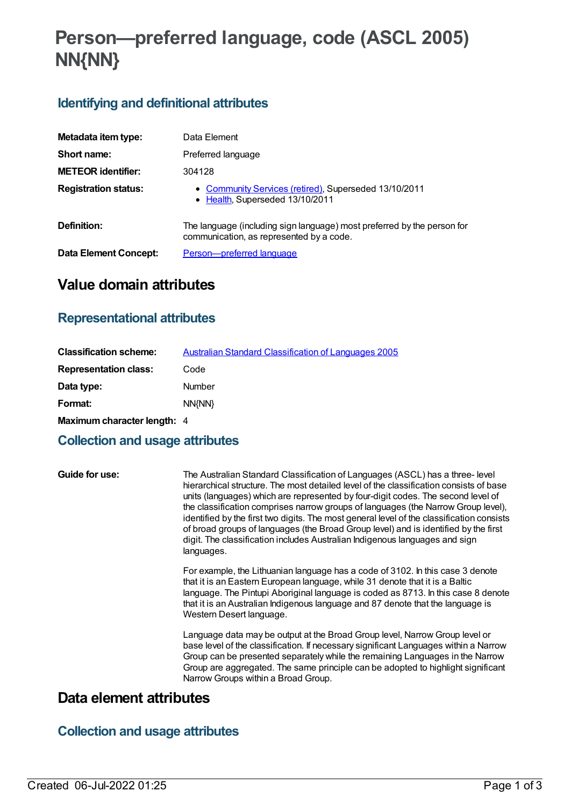# **Person—preferred language, code (ASCL 2005) NN{NN}**

## **Identifying and definitional attributes**

| Metadata item type:         | Data Element                                                                                                        |
|-----------------------------|---------------------------------------------------------------------------------------------------------------------|
| Short name:                 | Preferred language                                                                                                  |
| <b>METEOR identifier:</b>   | 304128                                                                                                              |
| <b>Registration status:</b> | • Community Services (retired), Superseded 13/10/2011<br>• Health, Superseded 13/10/2011                            |
| Definition:                 | The language (including sign language) most preferred by the person for<br>communication, as represented by a code. |
| Data Element Concept:       | Person-preferred language                                                                                           |

# **Value domain attributes**

### **Representational attributes**

| <b>Classification scheme:</b>      | <b>Australian Standard Classification of Languages 2005</b> |
|------------------------------------|-------------------------------------------------------------|
| <b>Representation class:</b>       | Code                                                        |
| Data type:                         | Number                                                      |
| Format:                            | NN{NN}                                                      |
| <b>Maximum character length: 4</b> |                                                             |

#### **Collection and usage attributes**

**Guide for use:** The Australian Standard Classification of Languages (ASCL) has a three- level hierarchical structure. The most detailed level of the classification consists of base units (languages) which are represented by four-digit codes. The second level of the classification comprises narrow groups of languages (the Narrow Group level), identified by the first two digits. The most general level of the classification consists of broad groups of languages (the Broad Group level) and is identified by the first digit. The classification includes Australian Indigenous languages and sign languages.

> For example, the Lithuanian language has a code of 3102. In this case 3 denote that it is an Eastern European language, while 31 denote that it is a Baltic language. The Pintupi Aboriginal language is coded as 8713. In this case 8 denote that it is an Australian Indigenous language and 87 denote that the language is Western Desert language.

> Language data may be output at the Broad Group level, Narrow Group level or base level of the classification. If necessary significant Languages within a Narrow Group can be presented separately while the remaining Languages in the Narrow Group are aggregated. The same principle can be adopted to highlight significant Narrow Groups within a Broad Group.

## **Data element attributes**

## **Collection and usage attributes**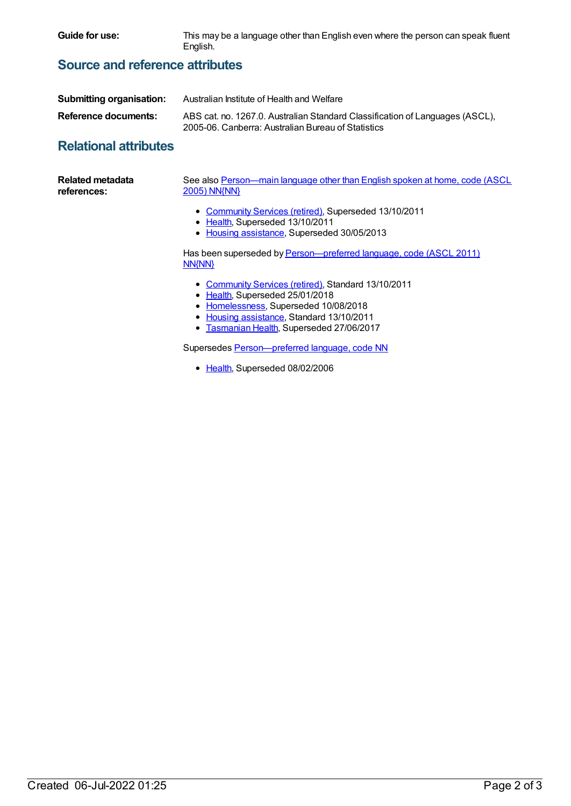**Guide for use:** This may be a language other than English even where the person can speak fluent English.

#### **Source and reference attributes**

| <b>Submitting organisation:</b> | Australian Institute of Health and Welfare                                                                                         |
|---------------------------------|------------------------------------------------------------------------------------------------------------------------------------|
| Reference documents:            | ABS cat. no. 1267.0. Australian Standard Classification of Languages (ASCL).<br>2005-06, Canberra: Australian Bureau of Statistics |

#### **Relational attributes**

| <b>Related metadata</b><br>references: | See also Person—main language other than English spoken at home, code (ASCL<br><b>2005) NN{NN}</b>                                      |
|----------------------------------------|-----------------------------------------------------------------------------------------------------------------------------------------|
|                                        | • Community Services (retired), Superseded 13/10/2011<br>• Health, Superseded 13/10/2011<br>• Housing assistance, Superseded 30/05/2013 |
|                                        | Has been superseded by Person-preferred language, code (ASCL 2011)<br>NN{NN}                                                            |
|                                        | $\mathbf{a}$ , $\mathbf{a}$ , $\mathbf{a}$ , $\mathbf{a}$ , $\mathbf{a}$ , $\mathbf{a}$ , $\mathbf{a}$ , $\mathbf{a}$ , $\mathbf{a}$    |

- [Community](https://meteor.aihw.gov.au/RegistrationAuthority/1) Services (retired), Standard 13/10/2011
- [Health](https://meteor.aihw.gov.au/RegistrationAuthority/12), Superseded 25/01/2018
- [Homelessness](https://meteor.aihw.gov.au/RegistrationAuthority/14), Superseded 10/08/2018
- Housing [assistance](https://meteor.aihw.gov.au/RegistrationAuthority/11), Standard 13/10/2011
- [Tasmanian](https://meteor.aihw.gov.au/RegistrationAuthority/15) Health, Superseded 27/06/2017

Supersedes [Person—preferred](https://meteor.aihw.gov.au/content/270307) language, code NN

• [Health](https://meteor.aihw.gov.au/RegistrationAuthority/12), Superseded 08/02/2006